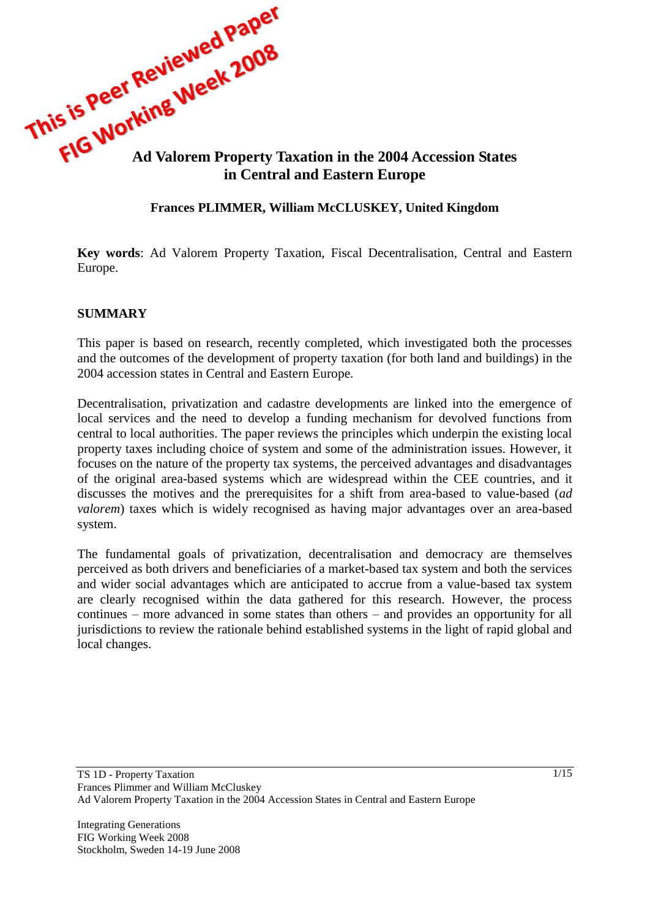

#### **Frances PLIMMER, William McCLUSKEY, United Kingdom**

**Key words**: Ad Valorem Property Taxation, Fiscal Decentralisation, Central and Eastern Europe.

#### **SUMMARY**

This paper is based on research, recently completed, which investigated both the processes and the outcomes of the development of property taxation (for both land and buildings) in the 2004 accession states in Central and Eastern Europe.

Decentralisation, privatization and cadastre developments are linked into the emergence of local services and the need to develop a funding mechanism for devolved functions from central to local authorities. The paper reviews the principles which underpin the existing local property taxes including choice of system and some of the administration issues. However, it focuses on the nature of the property tax systems, the perceived advantages and disadvantages of the original area-based systems which are widespread within the CEE countries, and it discusses the motives and the prerequisites for a shift from area-based to value-based (*ad valorem*) taxes which is widely recognised as having major advantages over an area-based system.

The fundamental goals of privatization, decentralisation and democracy are themselves perceived as both drivers and beneficiaries of a market-based tax system and both the services and wider social advantages which are anticipated to accrue from a value-based tax system are clearly recognised within the data gathered for this research. However, the process continues – more advanced in some states than others – and provides an opportunity for all jurisdictions to review the rationale behind established systems in the light of rapid global and local changes.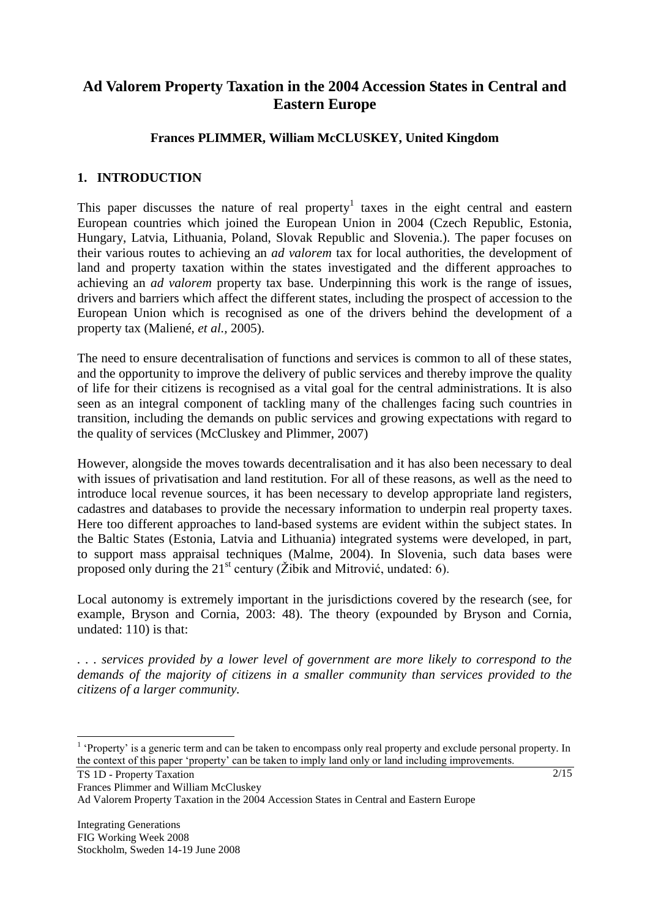# **Ad Valorem Property Taxation in the 2004 Accession States in Central and Eastern Europe**

### **Frances PLIMMER, William McCLUSKEY, United Kingdom**

### **1. INTRODUCTION**

This paper discusses the nature of real property<sup>1</sup> taxes in the eight central and eastern European countries which joined the European Union in 2004 (Czech Republic, Estonia, Hungary, Latvia, Lithuania, Poland, Slovak Republic and Slovenia.). The paper focuses on their various routes to achieving an *ad valorem* tax for local authorities, the development of land and property taxation within the states investigated and the different approaches to achieving an *ad valorem* property tax base. Underpinning this work is the range of issues, drivers and barriers which affect the different states, including the prospect of accession to the European Union which is recognised as one of the drivers behind the development of a property tax (Maliené, *et al.,* 2005).

The need to ensure decentralisation of functions and services is common to all of these states, and the opportunity to improve the delivery of public services and thereby improve the quality of life for their citizens is recognised as a vital goal for the central administrations. It is also seen as an integral component of tackling many of the challenges facing such countries in transition, including the demands on public services and growing expectations with regard to the quality of services (McCluskey and Plimmer, 2007)

However, alongside the moves towards decentralisation and it has also been necessary to deal with issues of privatisation and land restitution. For all of these reasons, as well as the need to introduce local revenue sources, it has been necessary to develop appropriate land registers, cadastres and databases to provide the necessary information to underpin real property taxes. Here too different approaches to land-based systems are evident within the subject states. In the Baltic States (Estonia, Latvia and Lithuania) integrated systems were developed, in part, to support mass appraisal techniques (Malme, 2004). In Slovenia, such data bases were proposed only during the  $21<sup>st</sup>$  century (Žibik and Mitrović, undated: 6).

Local autonomy is extremely important in the jurisdictions covered by the research (see, for example, Bryson and Cornia, 2003: 48). The theory (expounded by Bryson and Cornia, undated: 110) is that:

*. . . services provided by a lower level of government are more likely to correspond to the demands of the majority of citizens in a smaller community than services provided to the citizens of a larger community.* 

TS 1D - Property Taxation

Frances Plimmer and William McCluskey

Ad Valorem Property Taxation in the 2004 Accession States in Central and Eastern Europe

<sup>&</sup>lt;sup>1</sup> 'Property' is a generic term and can be taken to encompass only real property and exclude personal property. In the context of this paper "property" can be taken to imply land only or land including improvements.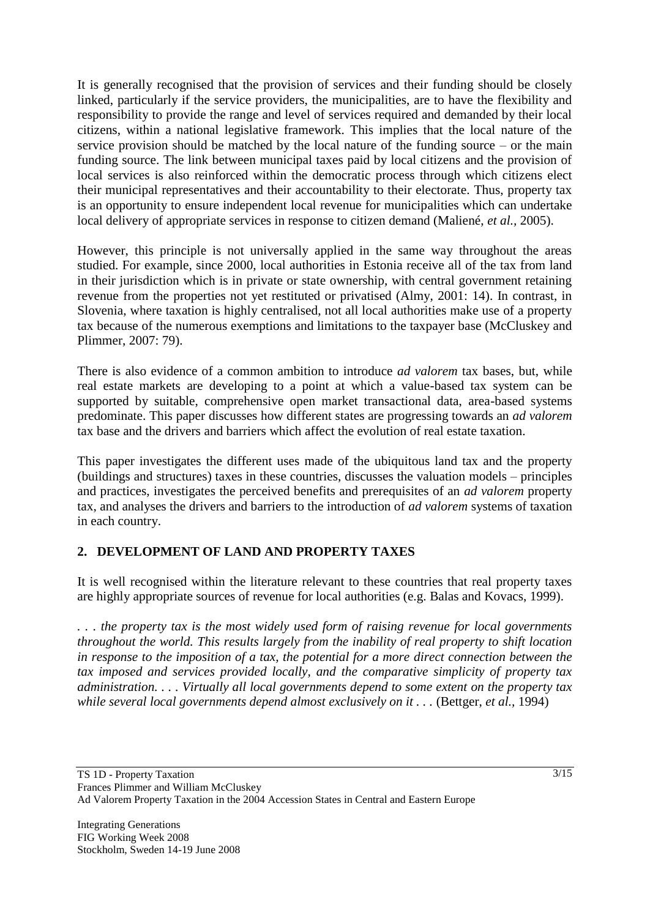It is generally recognised that the provision of services and their funding should be closely linked, particularly if the service providers, the municipalities, are to have the flexibility and responsibility to provide the range and level of services required and demanded by their local citizens, within a national legislative framework. This implies that the local nature of the service provision should be matched by the local nature of the funding source – or the main funding source. The link between municipal taxes paid by local citizens and the provision of local services is also reinforced within the democratic process through which citizens elect their municipal representatives and their accountability to their electorate. Thus, property tax is an opportunity to ensure independent local revenue for municipalities which can undertake local delivery of appropriate services in response to citizen demand (Maliené, *et al.,* 2005).

However, this principle is not universally applied in the same way throughout the areas studied. For example, since 2000, local authorities in Estonia receive all of the tax from land in their jurisdiction which is in private or state ownership, with central government retaining revenue from the properties not yet restituted or privatised (Almy, 2001: 14). In contrast, in Slovenia, where taxation is highly centralised, not all local authorities make use of a property tax because of the numerous exemptions and limitations to the taxpayer base (McCluskey and Plimmer, 2007: 79).

There is also evidence of a common ambition to introduce *ad valorem* tax bases, but, while real estate markets are developing to a point at which a value-based tax system can be supported by suitable, comprehensive open market transactional data, area-based systems predominate. This paper discusses how different states are progressing towards an *ad valorem*  tax base and the drivers and barriers which affect the evolution of real estate taxation.

This paper investigates the different uses made of the ubiquitous land tax and the property (buildings and structures) taxes in these countries, discusses the valuation models – principles and practices, investigates the perceived benefits and prerequisites of an *ad valorem* property tax, and analyses the drivers and barriers to the introduction of *ad valorem* systems of taxation in each country.

# **2. DEVELOPMENT OF LAND AND PROPERTY TAXES**

It is well recognised within the literature relevant to these countries that real property taxes are highly appropriate sources of revenue for local authorities (e.g. Balas and Kovacs, 1999).

*. . . the property tax is the most widely used form of raising revenue for local governments throughout the world. This results largely from the inability of real property to shift location*  in response to the imposition of a tax, the potential for a more direct connection between the *tax imposed and services provided locally, and the comparative simplicity of property tax administration. . . . Virtually all local governments depend to some extent on the property tax while several local governments depend almost exclusively on it . . . (Bettger, et al., 1994)*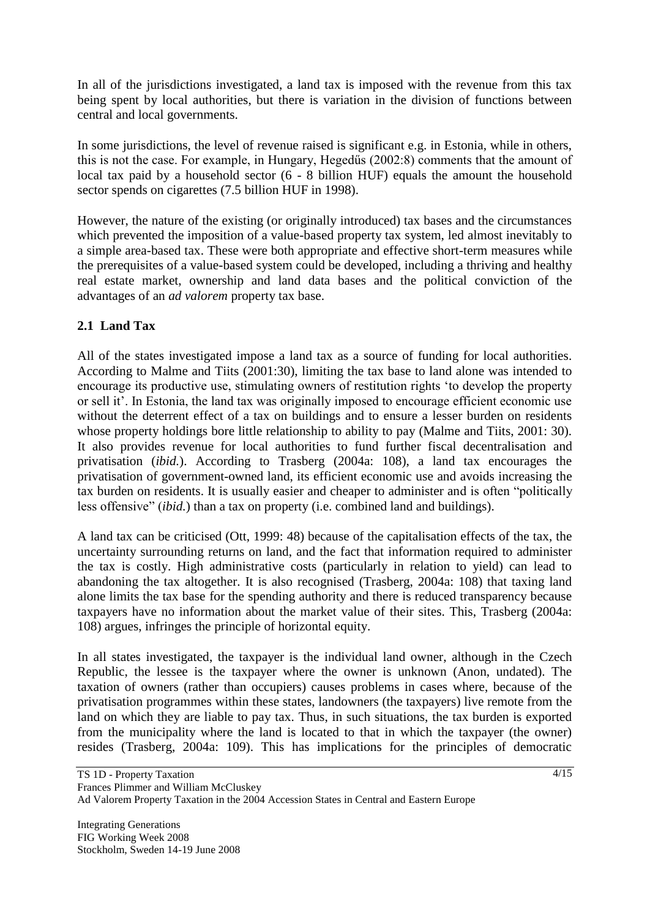In all of the jurisdictions investigated, a land tax is imposed with the revenue from this tax being spent by local authorities, but there is variation in the division of functions between central and local governments.

In some jurisdictions, the level of revenue raised is significant e.g. in Estonia, while in others, this is not the case. For example, in Hungary, Hegedűs (2002:8) comments that the amount of local tax paid by a household sector (6 - 8 billion HUF) equals the amount the household sector spends on cigarettes (7.5 billion HUF in 1998).

However, the nature of the existing (or originally introduced) tax bases and the circumstances which prevented the imposition of a value-based property tax system, led almost inevitably to a simple area-based tax. These were both appropriate and effective short-term measures while the prerequisites of a value-based system could be developed, including a thriving and healthy real estate market, ownership and land data bases and the political conviction of the advantages of an *ad valorem* property tax base.

### **2.1 Land Tax**

All of the states investigated impose a land tax as a source of funding for local authorities. According to Malme and Tiits (2001:30), limiting the tax base to land alone was intended to encourage its productive use, stimulating owners of restitution rights "to develop the property or sell it". In Estonia, the land tax was originally imposed to encourage efficient economic use without the deterrent effect of a tax on buildings and to ensure a lesser burden on residents whose property holdings bore little relationship to ability to pay (Malme and Tiits, 2001: 30). It also provides revenue for local authorities to fund further fiscal decentralisation and privatisation (*ibid.*). According to Trasberg (2004a: 108), a land tax encourages the privatisation of government-owned land, its efficient economic use and avoids increasing the tax burden on residents. It is usually easier and cheaper to administer and is often "politically less offensive" (*ibid.*) than a tax on property (i.e. combined land and buildings).

A land tax can be criticised (Ott, 1999: 48) because of the capitalisation effects of the tax, the uncertainty surrounding returns on land, and the fact that information required to administer the tax is costly. High administrative costs (particularly in relation to yield) can lead to abandoning the tax altogether. It is also recognised (Trasberg, 2004a: 108) that taxing land alone limits the tax base for the spending authority and there is reduced transparency because taxpayers have no information about the market value of their sites. This, Trasberg (2004a: 108) argues, infringes the principle of horizontal equity.

In all states investigated, the taxpayer is the individual land owner, although in the Czech Republic, the lessee is the taxpayer where the owner is unknown (Anon, undated). The taxation of owners (rather than occupiers) causes problems in cases where, because of the privatisation programmes within these states, landowners (the taxpayers) live remote from the land on which they are liable to pay tax. Thus, in such situations, the tax burden is exported from the municipality where the land is located to that in which the taxpayer (the owner) resides (Trasberg, 2004a: 109). This has implications for the principles of democratic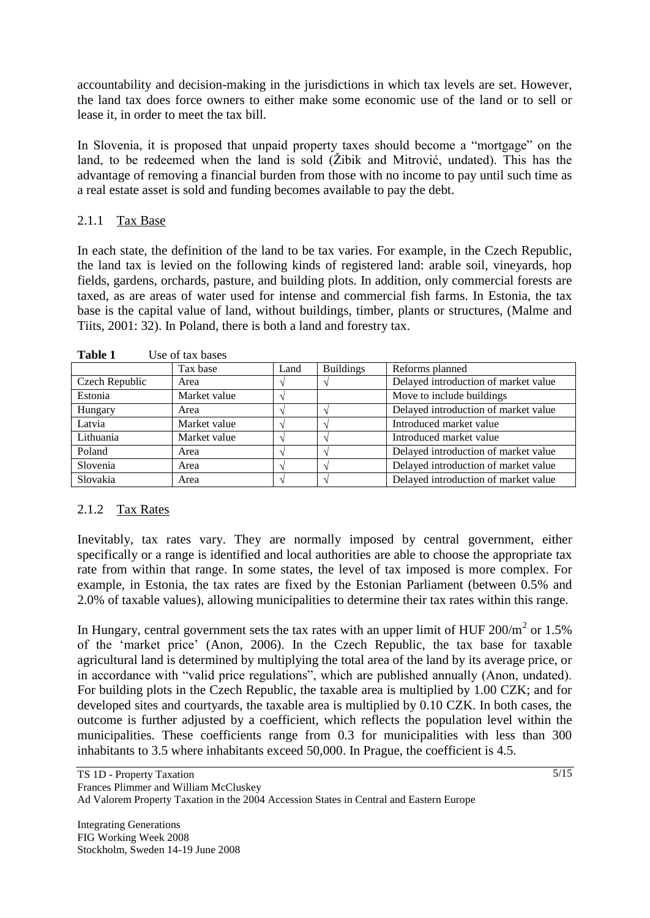accountability and decision-making in the jurisdictions in which tax levels are set. However, the land tax does force owners to either make some economic use of the land or to sell or lease it, in order to meet the tax bill.

In Slovenia, it is proposed that unpaid property taxes should become a "mortgage" on the land, to be redeemed when the land is sold (Žibik and Mitrović, undated). This has the advantage of removing a financial burden from those with no income to pay until such time as a real estate asset is sold and funding becomes available to pay the debt.

#### 2.1.1 Tax Base

In each state, the definition of the land to be tax varies. For example, in the Czech Republic, the land tax is levied on the following kinds of registered land: arable soil, vineyards, hop fields, gardens, orchards, pasture, and building plots. In addition, only commercial forests are taxed, as are areas of water used for intense and commercial fish farms. In Estonia, the tax base is the capital value of land, without buildings, timber, plants or structures, (Malme and Tiits, 2001: 32). In Poland, there is both a land and forestry tax.

| 1 U.VIV 1<br>$\sim$ |      |                  |                                      |  |
|---------------------|------|------------------|--------------------------------------|--|
| Tax base            | Land | <b>Buildings</b> | Reforms planned                      |  |
| Area                |      |                  | Delayed introduction of market value |  |
| Market value        |      |                  | Move to include buildings            |  |
| Area                |      |                  | Delayed introduction of market value |  |
| Market value        |      |                  | Introduced market value              |  |
| Market value        |      |                  | Introduced market value              |  |
| Area                |      |                  | Delayed introduction of market value |  |
| Area                |      |                  | Delayed introduction of market value |  |
| Area                |      |                  | Delayed introduction of market value |  |
|                     |      |                  |                                      |  |

**Table 1** Use of tax bases

#### 2.1.2 Tax Rates

Inevitably, tax rates vary. They are normally imposed by central government, either specifically or a range is identified and local authorities are able to choose the appropriate tax rate from within that range. In some states, the level of tax imposed is more complex. For example, in Estonia, the tax rates are fixed by the Estonian Parliament (between 0.5% and 2.0% of taxable values), allowing municipalities to determine their tax rates within this range.

In Hungary, central government sets the tax rates with an upper limit of HUF  $200/m^2$  or 1.5% of the "market price" (Anon, 2006). In the Czech Republic, the tax base for taxable agricultural land is determined by multiplying the total area of the land by its average price, or in accordance with "valid price regulations", which are published annually (Anon, undated). For building plots in the Czech Republic, the taxable area is multiplied by 1.00 CZK; and for developed sites and courtyards, the taxable area is multiplied by 0.10 CZK. In both cases, the outcome is further adjusted by a coefficient, which reflects the population level within the municipalities. These coefficients range from 0.3 for municipalities with less than 300 inhabitants to 3.5 where inhabitants exceed 50,000. In Prague, the coefficient is 4.5.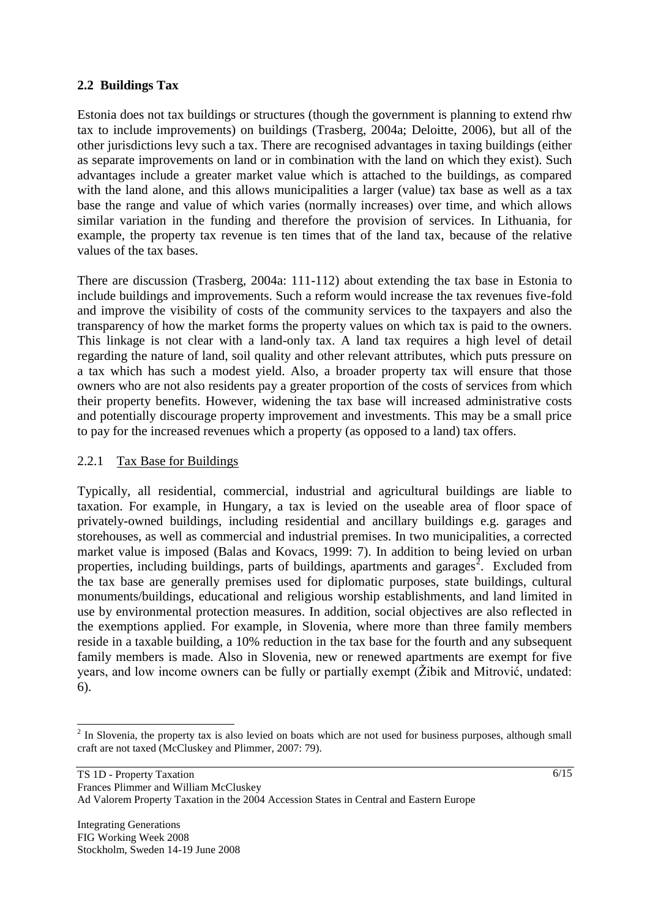### **2.2 Buildings Tax**

Estonia does not tax buildings or structures (though the government is planning to extend rhw tax to include improvements) on buildings (Trasberg, 2004a; Deloitte, 2006), but all of the other jurisdictions levy such a tax. There are recognised advantages in taxing buildings (either as separate improvements on land or in combination with the land on which they exist). Such advantages include a greater market value which is attached to the buildings, as compared with the land alone, and this allows municipalities a larger (value) tax base as well as a tax base the range and value of which varies (normally increases) over time, and which allows similar variation in the funding and therefore the provision of services. In Lithuania, for example, the property tax revenue is ten times that of the land tax, because of the relative values of the tax bases.

There are discussion (Trasberg, 2004a: 111-112) about extending the tax base in Estonia to include buildings and improvements. Such a reform would increase the tax revenues five-fold and improve the visibility of costs of the community services to the taxpayers and also the transparency of how the market forms the property values on which tax is paid to the owners. This linkage is not clear with a land-only tax. A land tax requires a high level of detail regarding the nature of land, soil quality and other relevant attributes, which puts pressure on a tax which has such a modest yield. Also, a broader property tax will ensure that those owners who are not also residents pay a greater proportion of the costs of services from which their property benefits. However, widening the tax base will increased administrative costs and potentially discourage property improvement and investments. This may be a small price to pay for the increased revenues which a property (as opposed to a land) tax offers.

#### 2.2.1 Tax Base for Buildings

Typically, all residential, commercial, industrial and agricultural buildings are liable to taxation. For example, in Hungary, a tax is levied on the useable area of floor space of privately-owned buildings, including residential and ancillary buildings e.g. garages and storehouses, as well as commercial and industrial premises. In two municipalities, a corrected market value is imposed (Balas and Kovacs, 1999: 7). In addition to being levied on urban properties, including buildings, parts of buildings, apartments and garages<sup>2</sup>. Excluded from the tax base are generally premises used for diplomatic purposes, state buildings, cultural monuments/buildings, educational and religious worship establishments, and land limited in use by environmental protection measures. In addition, social objectives are also reflected in the exemptions applied. For example, in Slovenia, where more than three family members reside in a taxable building, a 10% reduction in the tax base for the fourth and any subsequent family members is made. Also in Slovenia, new or renewed apartments are exempt for five years, and low income owners can be fully or partially exempt (Žibik and Mitrović, undated: 6).

 $\overline{a}$  $2<sup>2</sup>$  In Slovenia, the property tax is also levied on boats which are not used for business purposes, although small craft are not taxed (McCluskey and Plimmer, 2007: 79).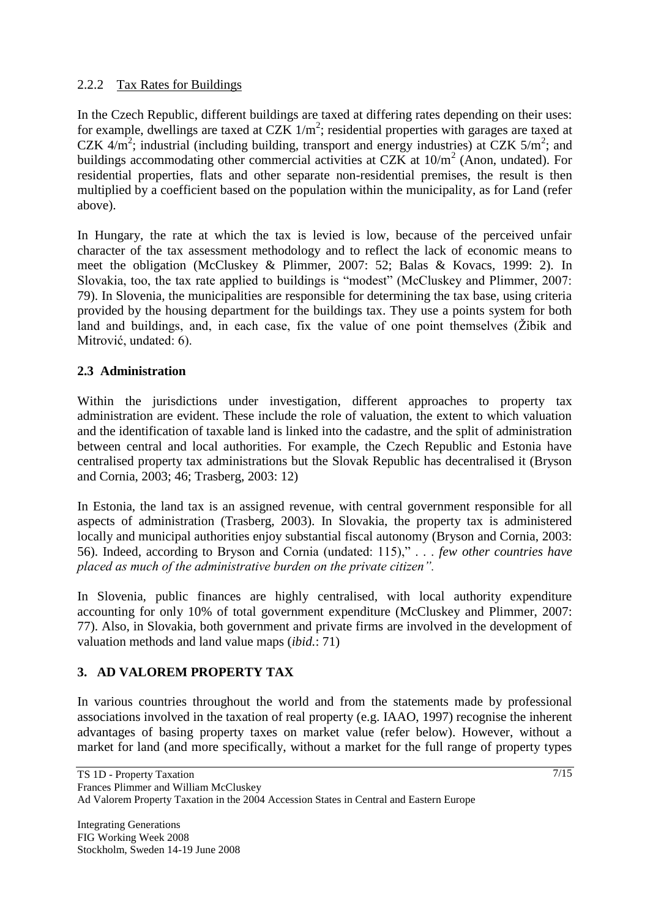### 2.2.2 Tax Rates for Buildings

In the Czech Republic, different buildings are taxed at differing rates depending on their uses: for example, dwellings are taxed at CZK  $1/m^2$ ; residential properties with garages are taxed at CZK  $4/m^2$ ; industrial (including building, transport and energy industries) at CZK  $5/m^2$ ; and buildings accommodating other commercial activities at CZK at  $10/m^2$  (Anon, undated). For residential properties, flats and other separate non-residential premises, the result is then multiplied by a coefficient based on the population within the municipality, as for Land (refer above).

In Hungary, the rate at which the tax is levied is low, because of the perceived unfair character of the tax assessment methodology and to reflect the lack of economic means to meet the obligation (McCluskey & Plimmer, 2007: 52; Balas & Kovacs, 1999: 2). In Slovakia, too, the tax rate applied to buildings is "modest" (McCluskey and Plimmer, 2007: 79). In Slovenia, the municipalities are responsible for determining the tax base, using criteria provided by the housing department for the buildings tax. They use a points system for both land and buildings, and, in each case, fix the value of one point themselves (Žibik and Mitrović, undated: 6).

### **2.3 Administration**

Within the jurisdictions under investigation, different approaches to property tax administration are evident. These include the role of valuation, the extent to which valuation and the identification of taxable land is linked into the cadastre, and the split of administration between central and local authorities. For example, the Czech Republic and Estonia have centralised property tax administrations but the Slovak Republic has decentralised it (Bryson and Cornia, 2003; 46; Trasberg, 2003: 12)

In Estonia, the land tax is an assigned revenue, with central government responsible for all aspects of administration (Trasberg, 2003). In Slovakia, the property tax is administered locally and municipal authorities enjoy substantial fiscal autonomy (Bryson and Cornia, 2003: 56). Indeed, according to Bryson and Cornia (undated: 115)," . . . *few other countries have placed as much of the administrative burden on the private citizen".*

In Slovenia, public finances are highly centralised, with local authority expenditure accounting for only 10% of total government expenditure (McCluskey and Plimmer, 2007: 77). Also, in Slovakia, both government and private firms are involved in the development of valuation methods and land value maps (*ibid.*: 71)

# **3. AD VALOREM PROPERTY TAX**

In various countries throughout the world and from the statements made by professional associations involved in the taxation of real property (e.g. IAAO, 1997) recognise the inherent advantages of basing property taxes on market value (refer below). However, without a market for land (and more specifically, without a market for the full range of property types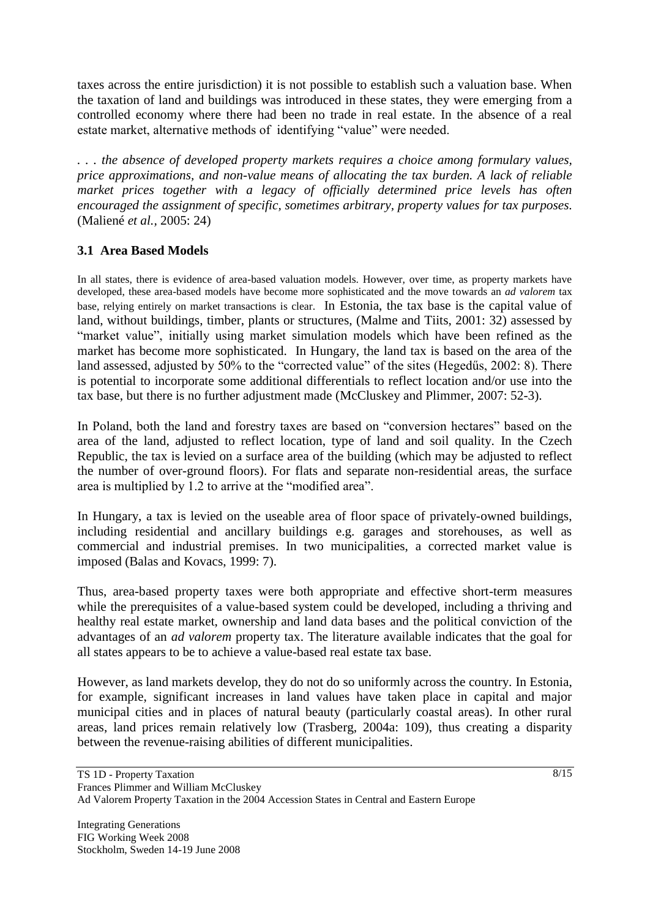taxes across the entire jurisdiction) it is not possible to establish such a valuation base. When the taxation of land and buildings was introduced in these states, they were emerging from a controlled economy where there had been no trade in real estate. In the absence of a real estate market, alternative methods of identifying "value" were needed.

*. . . the absence of developed property markets requires a choice among formulary values, price approximations, and non-value means of allocating the tax burden. A lack of reliable market prices together with a legacy of officially determined price levels has often encouraged the assignment of specific, sometimes arbitrary, property values for tax purposes.*  (Maliené *et al.,* 2005: 24)

### **3.1 Area Based Models**

In all states, there is evidence of area-based valuation models. However, over time, as property markets have developed, these area-based models have become more sophisticated and the move towards an *ad valorem* tax base, relying entirely on market transactions is clear. In Estonia, the tax base is the capital value of land, without buildings, timber, plants or structures, (Malme and Tiits, 2001: 32) assessed by "market value", initially using market simulation models which have been refined as the market has become more sophisticated. In Hungary, the land tax is based on the area of the land assessed, adjusted by 50% to the "corrected value" of the sites (Hegedűs, 2002: 8). There is potential to incorporate some additional differentials to reflect location and/or use into the tax base, but there is no further adjustment made (McCluskey and Plimmer, 2007: 52-3).

In Poland, both the land and forestry taxes are based on "conversion hectares" based on the area of the land, adjusted to reflect location, type of land and soil quality. In the Czech Republic, the tax is levied on a surface area of the building (which may be adjusted to reflect the number of over-ground floors). For flats and separate non-residential areas, the surface area is multiplied by 1.2 to arrive at the "modified area".

In Hungary, a tax is levied on the useable area of floor space of privately-owned buildings, including residential and ancillary buildings e.g. garages and storehouses, as well as commercial and industrial premises. In two municipalities, a corrected market value is imposed (Balas and Kovacs, 1999: 7).

Thus, area-based property taxes were both appropriate and effective short-term measures while the prerequisites of a value-based system could be developed, including a thriving and healthy real estate market, ownership and land data bases and the political conviction of the advantages of an *ad valorem* property tax. The literature available indicates that the goal for all states appears to be to achieve a value-based real estate tax base.

However, as land markets develop, they do not do so uniformly across the country. In Estonia, for example, significant increases in land values have taken place in capital and major municipal cities and in places of natural beauty (particularly coastal areas). In other rural areas, land prices remain relatively low (Trasberg, 2004a: 109), thus creating a disparity between the revenue-raising abilities of different municipalities.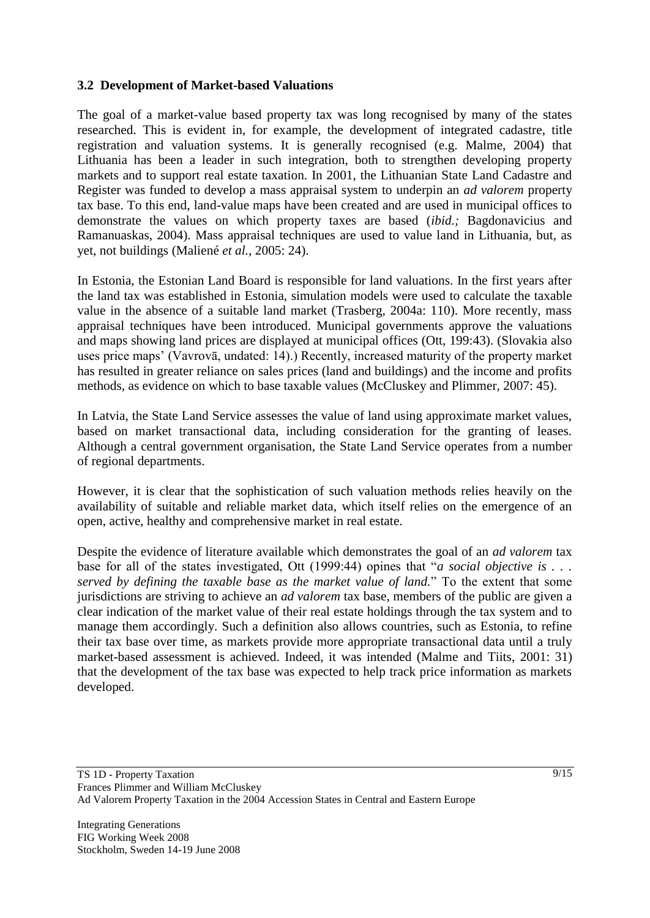#### **3.2 Development of Market-based Valuations**

The goal of a market-value based property tax was long recognised by many of the states researched. This is evident in, for example, the development of integrated cadastre, title registration and valuation systems. It is generally recognised (e.g. Malme, 2004) that Lithuania has been a leader in such integration, both to strengthen developing property markets and to support real estate taxation. In 2001, the Lithuanian State Land Cadastre and Register was funded to develop a mass appraisal system to underpin an *ad valorem* property tax base. To this end, land-value maps have been created and are used in municipal offices to demonstrate the values on which property taxes are based (*ibid.;* Bagdonavicius and Ramanuaskas, 2004). Mass appraisal techniques are used to value land in Lithuania, but, as yet, not buildings (Maliené *et al.,* 2005: 24).

In Estonia, the Estonian Land Board is responsible for land valuations. In the first years after the land tax was established in Estonia, simulation models were used to calculate the taxable value in the absence of a suitable land market (Trasberg, 2004a: 110). More recently, mass appraisal techniques have been introduced. Municipal governments approve the valuations and maps showing land prices are displayed at municipal offices (Ott, 199:43). (Slovakia also uses price maps" (Vavrovā, undated: 14).) Recently, increased maturity of the property market has resulted in greater reliance on sales prices (land and buildings) and the income and profits methods, as evidence on which to base taxable values (McCluskey and Plimmer, 2007: 45).

In Latvia, the State Land Service assesses the value of land using approximate market values, based on market transactional data, including consideration for the granting of leases. Although a central government organisation, the State Land Service operates from a number of regional departments.

However, it is clear that the sophistication of such valuation methods relies heavily on the availability of suitable and reliable market data, which itself relies on the emergence of an open, active, healthy and comprehensive market in real estate.

Despite the evidence of literature available which demonstrates the goal of an *ad valorem* tax base for all of the states investigated, Ott (1999:44) opines that "*a social objective is . . . served by defining the taxable base as the market value of land.*" To the extent that some jurisdictions are striving to achieve an *ad valorem* tax base, members of the public are given a clear indication of the market value of their real estate holdings through the tax system and to manage them accordingly. Such a definition also allows countries, such as Estonia, to refine their tax base over time, as markets provide more appropriate transactional data until a truly market-based assessment is achieved. Indeed, it was intended (Malme and Tiits, 2001: 31) that the development of the tax base was expected to help track price information as markets developed.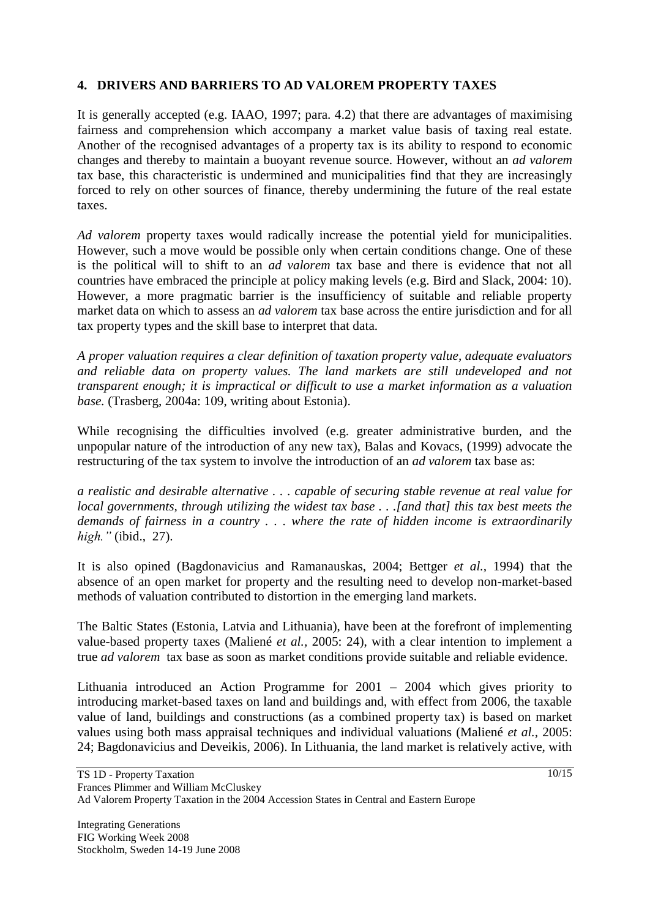### **4. DRIVERS AND BARRIERS TO AD VALOREM PROPERTY TAXES**

It is generally accepted (e.g. IAAO, 1997; para. 4.2) that there are advantages of maximising fairness and comprehension which accompany a market value basis of taxing real estate. Another of the recognised advantages of a property tax is its ability to respond to economic changes and thereby to maintain a buoyant revenue source. However, without an *ad valorem* tax base, this characteristic is undermined and municipalities find that they are increasingly forced to rely on other sources of finance, thereby undermining the future of the real estate taxes.

*Ad valorem* property taxes would radically increase the potential yield for municipalities. However, such a move would be possible only when certain conditions change. One of these is the political will to shift to an *ad valorem* tax base and there is evidence that not all countries have embraced the principle at policy making levels (e.g. Bird and Slack, 2004: 10). However, a more pragmatic barrier is the insufficiency of suitable and reliable property market data on which to assess an *ad valorem* tax base across the entire jurisdiction and for all tax property types and the skill base to interpret that data.

*A proper valuation requires a clear definition of taxation property value, adequate evaluators*  and reliable data on property values. The land markets are still undeveloped and not *transparent enough; it is impractical or difficult to use a market information as a valuation base.* (Trasberg, 2004a: 109, writing about Estonia).

While recognising the difficulties involved (e.g. greater administrative burden, and the unpopular nature of the introduction of any new tax), Balas and Kovacs, (1999) advocate the restructuring of the tax system to involve the introduction of an *ad valorem* tax base as:

*a realistic and desirable alternative . . . capable of securing stable revenue at real value for local governments, through utilizing the widest tax base . . .[and that] this tax best meets the demands of fairness in a country . . . where the rate of hidden income is extraordinarily high."* (ibid., 27).

It is also opined (Bagdonavicius and Ramanauskas, 2004; Bettger *et al.,* 1994) that the absence of an open market for property and the resulting need to develop non-market-based methods of valuation contributed to distortion in the emerging land markets.

The Baltic States (Estonia, Latvia and Lithuania), have been at the forefront of implementing value-based property taxes (Maliené *et al.,* 2005: 24), with a clear intention to implement a true *ad valorem* tax base as soon as market conditions provide suitable and reliable evidence.

Lithuania introduced an Action Programme for 2001 – 2004 which gives priority to introducing market-based taxes on land and buildings and, with effect from 2006, the taxable value of land, buildings and constructions (as a combined property tax) is based on market values using both mass appraisal techniques and individual valuations (Maliené *et al.,* 2005: 24; Bagdonavicius and Deveikis, 2006). In Lithuania, the land market is relatively active, with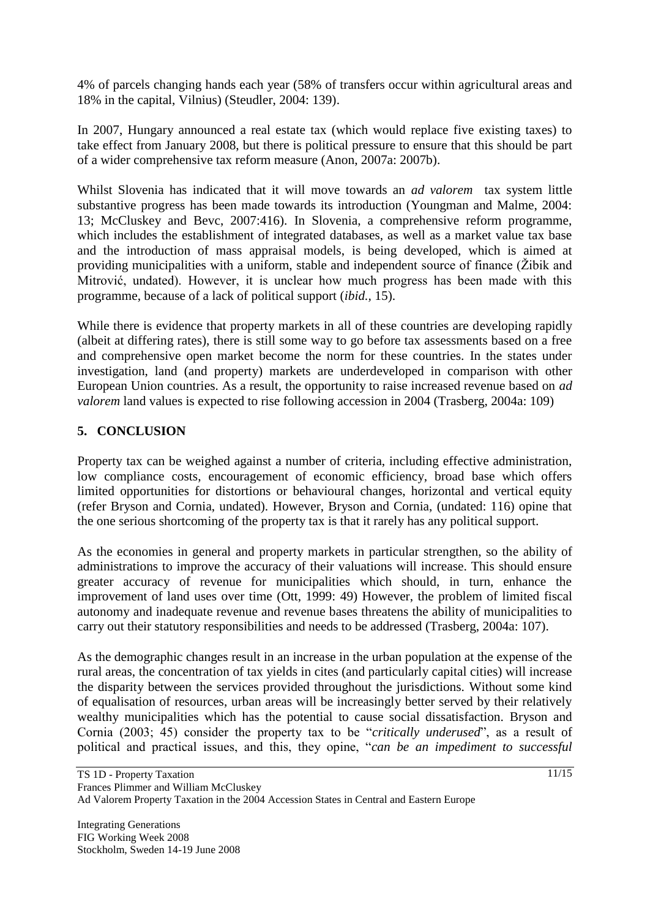4% of parcels changing hands each year (58% of transfers occur within agricultural areas and 18% in the capital, Vilnius) (Steudler, 2004: 139).

In 2007, Hungary announced a real estate tax (which would replace five existing taxes) to take effect from January 2008, but there is political pressure to ensure that this should be part of a wider comprehensive tax reform measure (Anon, 2007a: 2007b).

Whilst Slovenia has indicated that it will move towards an *ad valorem* tax system little substantive progress has been made towards its introduction (Youngman and Malme, 2004: 13; McCluskey and Bevc, 2007:416). In Slovenia, a comprehensive reform programme, which includes the establishment of integrated databases, as well as a market value tax base and the introduction of mass appraisal models, is being developed, which is aimed at providing municipalities with a uniform, stable and independent source of finance (Žibik and Mitrović, undated). However, it is unclear how much progress has been made with this programme, because of a lack of political support (*ibid.,* 15).

While there is evidence that property markets in all of these countries are developing rapidly (albeit at differing rates), there is still some way to go before tax assessments based on a free and comprehensive open market become the norm for these countries. In the states under investigation, land (and property) markets are underdeveloped in comparison with other European Union countries. As a result, the opportunity to raise increased revenue based on *ad valorem* land values is expected to rise following accession in 2004 (Trasberg, 2004a: 109)

### **5. CONCLUSION**

Property tax can be weighed against a number of criteria, including effective administration, low compliance costs, encouragement of economic efficiency, broad base which offers limited opportunities for distortions or behavioural changes, horizontal and vertical equity (refer Bryson and Cornia, undated). However, Bryson and Cornia, (undated: 116) opine that the one serious shortcoming of the property tax is that it rarely has any political support.

As the economies in general and property markets in particular strengthen, so the ability of administrations to improve the accuracy of their valuations will increase. This should ensure greater accuracy of revenue for municipalities which should, in turn, enhance the improvement of land uses over time (Ott, 1999: 49) However, the problem of limited fiscal autonomy and inadequate revenue and revenue bases threatens the ability of municipalities to carry out their statutory responsibilities and needs to be addressed (Trasberg, 2004a: 107).

As the demographic changes result in an increase in the urban population at the expense of the rural areas, the concentration of tax yields in cites (and particularly capital cities) will increase the disparity between the services provided throughout the jurisdictions. Without some kind of equalisation of resources, urban areas will be increasingly better served by their relatively wealthy municipalities which has the potential to cause social dissatisfaction. Bryson and Cornia (2003; 45) consider the property tax to be "*critically underused*", as a result of political and practical issues, and this, they opine, "*can be an impediment to successful*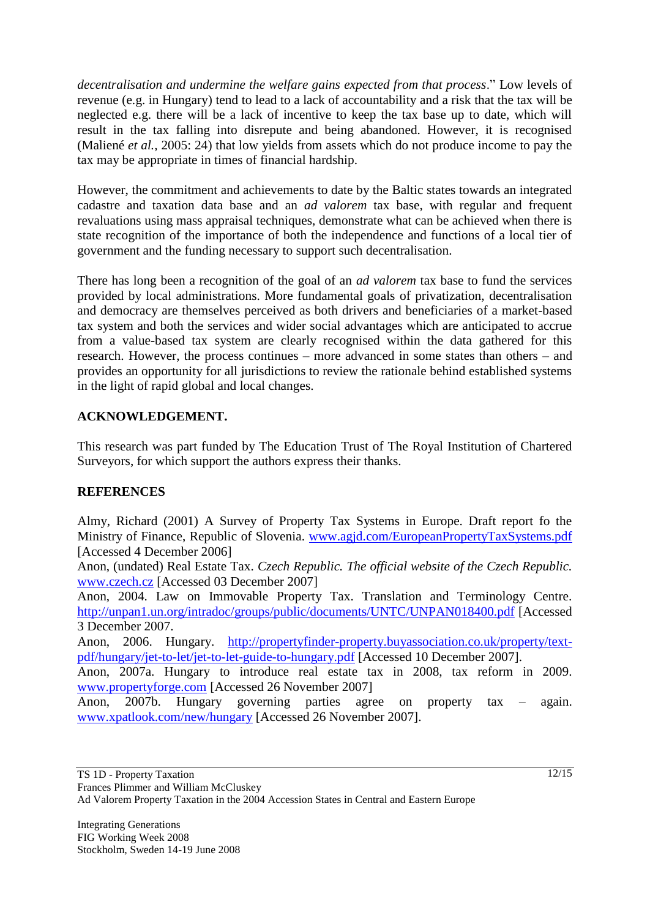*decentralisation and undermine the welfare gains expected from that process*." Low levels of revenue (e.g. in Hungary) tend to lead to a lack of accountability and a risk that the tax will be neglected e.g. there will be a lack of incentive to keep the tax base up to date, which will result in the tax falling into disrepute and being abandoned. However, it is recognised (Maliené *et al.,* 2005: 24) that low yields from assets which do not produce income to pay the tax may be appropriate in times of financial hardship.

However, the commitment and achievements to date by the Baltic states towards an integrated cadastre and taxation data base and an *ad valorem* tax base, with regular and frequent revaluations using mass appraisal techniques, demonstrate what can be achieved when there is state recognition of the importance of both the independence and functions of a local tier of government and the funding necessary to support such decentralisation.

There has long been a recognition of the goal of an *ad valorem* tax base to fund the services provided by local administrations. More fundamental goals of privatization, decentralisation and democracy are themselves perceived as both drivers and beneficiaries of a market-based tax system and both the services and wider social advantages which are anticipated to accrue from a value-based tax system are clearly recognised within the data gathered for this research. However, the process continues – more advanced in some states than others – and provides an opportunity for all jurisdictions to review the rationale behind established systems in the light of rapid global and local changes.

# **ACKNOWLEDGEMENT.**

This research was part funded by The Education Trust of The Royal Institution of Chartered Surveyors, for which support the authors express their thanks.

#### **REFERENCES**

Almy, Richard (2001) A Survey of Property Tax Systems in Europe. Draft report fo the Ministry of Finance, Republic of Slovenia. [www.agjd.com/EuropeanPropertyTaxSystems.pdf](http://www.agjd.com/EuropeanPropertyTaxSystems.pdf) [Accessed 4 December 2006]

Anon, (undated) Real Estate Tax. *Czech Republic. The official website of the Czech Republic.* [www.czech.cz](http://www.czech.cz/) [Accessed 03 December 2007]

Anon, 2004. Law on Immovable Property Tax. Translation and Terminology Centre. <http://unpan1.un.org/intradoc/groups/public/documents/UNTC/UNPAN018400.pdf> [Accessed 3 December 2007.

Anon, 2006. Hungary. [http://propertyfinder-property.buyassociation.co.uk/property/text](http://propertyfinder-property.buyassociation.co.uk/property/text-pdf/hungary/jet-to-let/jet-to-let-guide-to-hungary.pdf)[pdf/hungary/jet-to-let/jet-to-let-guide-to-hungary.pdf](http://propertyfinder-property.buyassociation.co.uk/property/text-pdf/hungary/jet-to-let/jet-to-let-guide-to-hungary.pdf) [Accessed 10 December 2007].

Anon, 2007a. Hungary to introduce real estate tax in 2008, tax reform in 2009. [www.propertyforge.com](http://www.propertyforge.com/) [Accessed 26 November 2007]

Anon, 2007b. Hungary governing parties agree on property tax – again. [www.xpatlook.com/new/hungary](http://www.xpatlook.com/new/hungary) [Accessed 26 November 2007].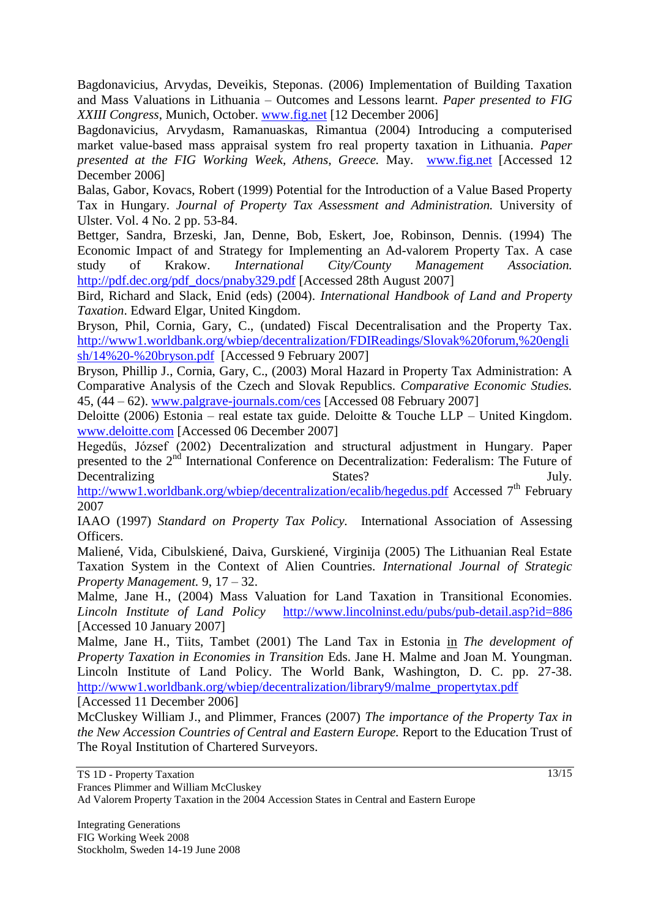Bagdonavicius, Arvydas, Deveikis, Steponas. (2006) Implementation of Building Taxation and Mass Valuations in Lithuania – Outcomes and Lessons learnt. *Paper presented to FIG XXIII Congress*, Munich, October. [www.fig.net](http://www.fig.net/) [12 December 2006]

Bagdonavicius, Arvydasm, Ramanuaskas, Rimantua (2004) Introducing a computerised market value-based mass appraisal system fro real property taxation in Lithuania. *Paper presented at the FIG Working Week, Athens, Greece.* May. [www.fig.net](http://www.fig.net/) [Accessed 12 December 2006]

Balas, Gabor, Kovacs, Robert (1999) Potential for the Introduction of a Value Based Property Tax in Hungary. *Journal of Property Tax Assessment and Administration.* University of Ulster. Vol. 4 No. 2 pp. 53-84.

Bettger, Sandra, Brzeski, Jan, Denne, Bob, Eskert, Joe, Robinson, Dennis. (1994) The Economic Impact of and Strategy for Implementing an Ad-valorem Property Tax. A case study of Krakow. *International City/County Management Association.* [http://pdf.dec.org/pdf\\_docs/pnaby329.pdf](http://pdf.dec.org/pdf_docs/pnaby329.pdf) [Accessed 28th August 2007]

Bird, Richard and Slack, Enid (eds) (2004). *International Handbook of Land and Property Taxation*. Edward Elgar, United Kingdom.

Bryson, Phil, Cornia, Gary, C., (undated) Fiscal Decentralisation and the Property Tax. http://www1.worldbank.org/wbiep/decentralization/FDIReadings/Slovak%20forum,%20engli sh/14%20-%20bryson.pdf [Accessed 9 February 2007]

Bryson, Phillip J., Cornia, Gary, C., (2003) Moral Hazard in Property Tax Administration: A Comparative Analysis of the Czech and Slovak Republics. *Comparative Economic Studies.*  45, (44 – 62). [www.palgrave-journals.com/ces](http://www.palgrave-journals.com/ces) [Accessed 08 February 2007]

Deloitte (2006) Estonia – real estate tax guide. Deloitte & Touche LLP – United Kingdom. [www.deloitte.com](http://www.deloitte.com/) [Accessed 06 December 2007]

Hegedűs, József (2002) Decentralization and structural adjustment in Hungary. Paper presented to the 2<sup>nd</sup> International Conference on Decentralization: Federalism: The Future of Decentralizing July. States? States?

<http://www1.worldbank.org/wbiep/decentralization/ecalib/hegedus.pdf> Accessed 7<sup>th</sup> February 2007

IAAO (1997) *Standard on Property Tax Policy.* International Association of Assessing Officers.

Maliené, Vida, Cibulskiené, Daiva, Gurskiené, Virginija (2005) The Lithuanian Real Estate Taxation System in the Context of Alien Countries. *International Journal of Strategic Property Management.* 9, 17 – 32.

Malme, Jane H., (2004) Mass Valuation for Land Taxation in Transitional Economies. *Lincoln Institute of Land Policy* [http://www.lincolninst.edu/pubs/pub-detail.asp?id=886](http://www.lincolninst.edu/ubs/pub-detail.asp?id=886) [Accessed 10 January 2007]

Malme, Jane H., Tiits, Tambet (2001) The Land Tax in Estonia in *The development of Property Taxation in Economies in Transition* Eds. Jane H. Malme and Joan M. Youngman. Lincoln Institute of Land Policy. The World Bank, Washington, D. C. pp. 27-38. [http://www1.worldbank.org/wbiep/decentralization/library9/malme\\_propertytax.pdf](http://www1.worldbank.org/wbiep/decentralization/library9/malme_propertytax.pdf) [Accessed 11 December 2006]

McCluskey William J., and Plimmer, Frances (2007) *The importance of the Property Tax in the New Accession Countries of Central and Eastern Europe.* Report to the Education Trust of The Royal Institution of Chartered Surveyors.

Ad Valorem Property Taxation in the 2004 Accession States in Central and Eastern Europe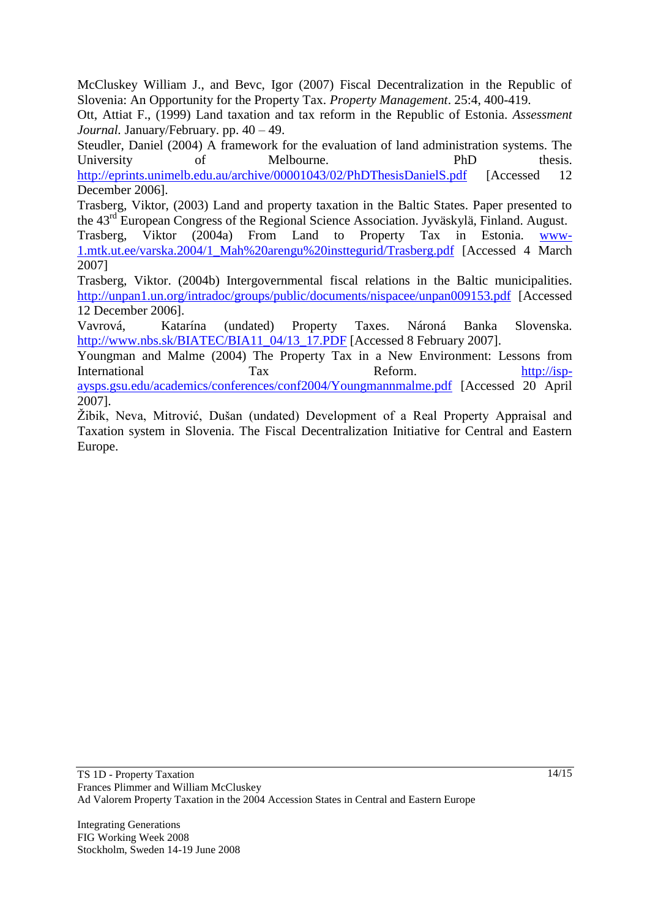McCluskey William J., and Bevc, Igor (2007) Fiscal Decentralization in the Republic of Slovenia: An Opportunity for the Property Tax. *Property Management*. 25:4, 400-419.

Ott, Attiat F., (1999) Land taxation and tax reform in the Republic of Estonia. *Assessment Journal.* January/February. pp. 40 – 49.

Steudler, Daniel (2004) A framework for the evaluation of land administration systems. The University of Melbourne. PhD thesis. <http://eprints.unimelb.edu.au/archive/00001043/02/PhDThesisDanielS.pdf> [Accessed 12 December 2006].

Trasberg, Viktor, (2003) Land and property taxation in the Baltic States. Paper presented to the 43rd European Congress of the Regional Science Association. Jyväskylä, Finland. August.

Trasberg, Viktor (2004a) From Land to Property Tax in Estonia. www-1.mtk.ut.ee/varska.2004/1\_Mah%20arengu%20insttegurid/Trasberg.pdf [Accessed 4 March 2007]

Trasberg, Viktor. (2004b) Intergovernmental fiscal relations in the Baltic municipalities. <http://unpan1.un.org/intradoc/groups/public/documents/nispacee/unpan009153.pdf> [Accessed 12 December 2006].

Vavrová, Katarína (undated) Property Taxes. Nároná Banka Slovenska. [http://www.nbs.sk/BIATEC/BIA11\\_04/13\\_17.PDF](http://www.nbs.sk/BIATEC/BIA11_04/13_17.PDF) [Accessed 8 February 2007].

Youngman and Malme (2004) The Property Tax in a New Environment: Lessons from International Tax Reform. [http://isp](http://isp-aysps.gsu.edu/academics/conferences/conf2004/Youngmannmalme.pdf)[aysps.gsu.edu/academics/conferences/conf2004/Youngmannmalme.pdf](http://isp-aysps.gsu.edu/academics/conferences/conf2004/Youngmannmalme.pdf) [Accessed 20 April 2007].

Žibik, Neva, Mitrović, Dušan (undated) Development of a Real Property Appraisal and Taxation system in Slovenia. The Fiscal Decentralization Initiative for Central and Eastern Europe.